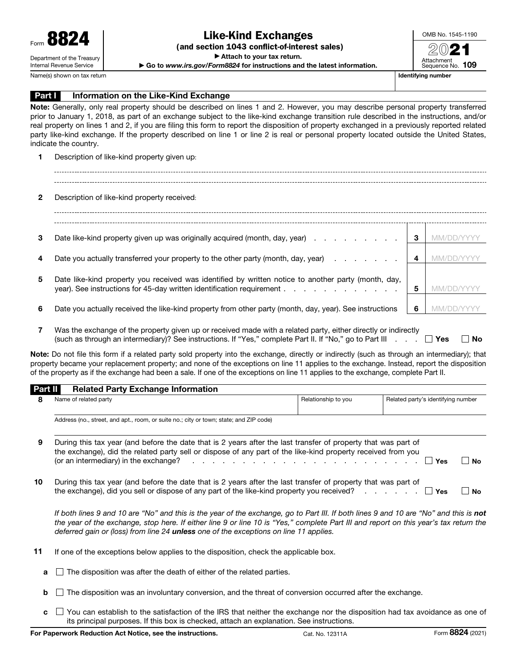(and section 1043 conflict-of-interest sales)

▶ Attach to your tax return.

▶ Go to *www.irs.gov/Form8824* for instructions and the latest information.

OMB No. 1545-1190 20 Attachment Sequence No. 109

Name(s) shown on tax return and the state of the state of the state of the state of the state of the state of the state of the state of the state of the state of the state of the state of the state of the state of the stat

#### **Part I** Information on the Like-Kind Exchange

Note: Generally, only real property should be described on lines 1 and 2. However, you may describe personal property transferred prior to January 1, 2018, as part of an exchange subject to the like-kind exchange transition rule described in the instructions, and/or real property on lines 1 and 2, if you are filing this form to report the disposition of property exchanged in a previously reported related party like-kind exchange. If the property described on line 1 or line 2 is real or personal property located outside the United States, indicate the country.

1 Description of like-kind property given up:

2 Description of like-kind property received: 3 Date like-kind property given up was originally acquired (month, day, year)  $\ldots$  . . . . . . . 3 MM/DD/YYYY 4 Date you actually transferred your property to the other party (month, day, year)  $\ldots$  . . . . 4 MM/DD/YYYY 5 Date like-kind property you received was identified by written notice to another party (month, day, year). See instructions for 45-day written identification requirement . . . . . . . . . . . . . . . 5 MM/DD/YYY 6 Date you actually received the like-kind property from other party (month, day, year). See instructions 6 MM/DD/YYYY

7 Was the exchange of the property given up or received made with a related party, either directly or indirectly (such as through an intermediary)? See instructions. If "Yes," complete Part II. If "No," go to Part III  $\ldots$   $\Box$  Yes  $\Box$  No

Note: Do not file this form if a related party sold property into the exchange, directly or indirectly (such as through an intermediary); that property became your replacement property; and none of the exceptions on line 11 applies to the exchange. Instead, report the disposition of the property as if the exchange had been a sale. If one of the exceptions on line 11 applies to the exchange, complete Part II.

#### Part II Related Party Exchange Information

|    | Name of related party                                                                                                                                                                                                                                                                                                                                                     | Relationship to you | Related party's identifying number |    |  |
|----|---------------------------------------------------------------------------------------------------------------------------------------------------------------------------------------------------------------------------------------------------------------------------------------------------------------------------------------------------------------------------|---------------------|------------------------------------|----|--|
|    | Address (no., street, and apt., room, or suite no.; city or town; state; and ZIP code)                                                                                                                                                                                                                                                                                    |                     |                                    |    |  |
| 9  | During this tax year (and before the date that is 2 years after the last transfer of property that was part of<br>the exchange), did the related party sell or dispose of any part of the like-kind property received from you<br>(or an intermediary) in the exchange? $\cdots$ $\cdots$ $\cdots$ $\cdots$ $\cdots$ $\cdots$ $\cdots$ $\cdots$ $\cdots$ $\cdots$<br>  No |                     |                                    |    |  |
| 10 | During this tax year (and before the date that is 2 years after the last transfer of property that was part of<br>the exchange), did you sell or dispose of any part of the like-kind property you received? $\Box$                                                                                                                                                       |                     | ∣ Yes                              | No |  |

If both lines 9 and 10 are "No" and this is the year of the exchange, go to Part III. If both lines 9 and 10 are "No" and this is not *the year of the exchange, stop here. If either line 9 or line 10 is "Yes," complete Part III and report on this year's tax return the deferred gain or (loss) from line 24 unless one of the exceptions on line 11 applies.*

- 11 If one of the exceptions below applies to the disposition, check the applicable box.
	- $\blacksquare$  The disposition was after the death of either of the related parties.
	- $\mathbf{b}$  The disposition was an involuntary conversion, and the threat of conversion occurred after the exchange.
	- $\mathbf{c}$   $\Box$  You can establish to the satisfaction of the IRS that neither the exchange nor the disposition had tax avoidance as one of its principal purposes. If this box is checked, attach an explanation. See instructions.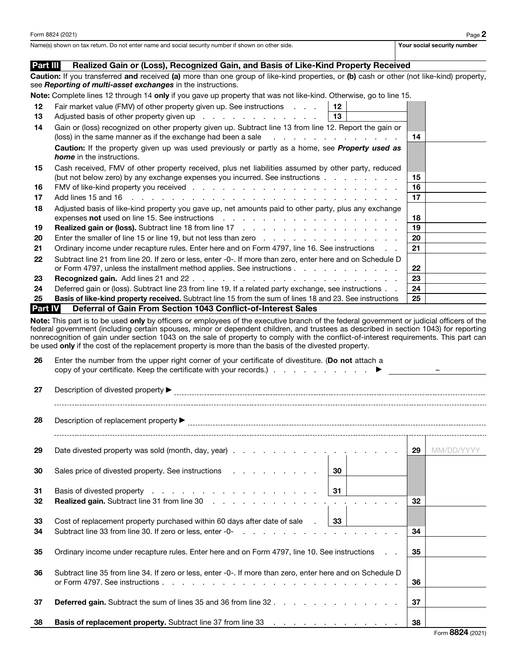Name(s) shown on tax return. Do not enter name and social security number if shown on other side. Your social security number if shown on other side.

#### Part III Realized Gain or (Loss), Recognized Gain, and Basis of Like-Kind Property Received

Caution: If you transferred and received (a) more than one group of like-kind properties, or (b) cash or other (not like-kind) property, see *Reporting of multi-asset exchanges* in the instructions.

Note: Complete lines 12 through 14 only if you gave up property that was not like-kind. Otherwise, go to line 15.

| 12 | Fair market value (FMV) of other property given up. See instructions<br>12 I                                                                                                                                                       |         |  |
|----|------------------------------------------------------------------------------------------------------------------------------------------------------------------------------------------------------------------------------------|---------|--|
| 13 | ∣ 13∣<br>Adjusted basis of other property given up entitled by example the set of the Adjusted basis of other property given up                                                                                                    |         |  |
| 14 | Gain or (loss) recognized on other property given up. Subtract line 13 from line 12. Report the gain or                                                                                                                            |         |  |
|    | (loss) in the same manner as if the exchange had been a sale entitled by example and the same manner as if the exchange had been a sale                                                                                            | 14      |  |
|    | <b>Caution:</b> If the property given up was used previously or partly as a home, see <b>Property used as</b><br><b>home</b> in the instructions.                                                                                  |         |  |
|    |                                                                                                                                                                                                                                    |         |  |
| 15 | Cash received, FMV of other property received, plus net liabilities assumed by other party, reduced                                                                                                                                |         |  |
|    | (but not below zero) by any exchange expenses you incurred. See instructions                                                                                                                                                       | 15      |  |
| 16 |                                                                                                                                                                                                                                    | 16      |  |
| 17 |                                                                                                                                                                                                                                    | 17      |  |
| 18 | Adjusted basis of like-kind property you gave up, net amounts paid to other party, plus any exchange                                                                                                                               |         |  |
|    | expenses not used on line 15. See instructions enterstanding to the control of the control of the control of the control of the control of the control of the control of the control of the control of the control of the cont     | 18      |  |
| 19 | <b>Realized gain or (loss).</b> Subtract line 18 from line 17 manus of the contract of the state of the state of the state of the state of the state of the state of the state of the state of the state of the state of the state | 19      |  |
| 20 | Enter the smaller of line 15 or line 19, but not less than zero                                                                                                                                                                    | 20      |  |
| 21 | Ordinary income under recapture rules. Enter here and on Form 4797, line 16. See instructions                                                                                                                                      | 21      |  |
| 22 | Subtract line 21 from line 20. If zero or less, enter -0-. If more than zero, enter here and on Schedule D                                                                                                                         |         |  |
|    | or Form 4797, unless the installment method applies. See instructions                                                                                                                                                              | $22 \,$ |  |
| 23 |                                                                                                                                                                                                                                    | 23      |  |
| 24 | Deferred gain or (loss). Subtract line 23 from line 19. If a related party exchange, see instructions                                                                                                                              | 24      |  |
| 25 | <b>Basis of like-kind property received.</b> Subtract line 15 from the sum of lines 18 and 23. See instructions                                                                                                                    | 25      |  |
|    | $\mathbf{D}$ and $\mathbf{W}$ . In the set of $\mathbf{A}$ the Equation $\mathbf{A}$ and $\mathbf{A}$ and $\mathbf{A}$ and $\mathbf{A}$ is the set of $\mathbf{A}$ and $\mathbf{A}$                                                |         |  |

**Part IV** Deferral of Gain From Section 1043 Conflict-of-Interest Sales

Note: This part is to be used only by officers or employees of the executive branch of the federal government or judicial officers of the federal government (including certain spouses, minor or dependent children, and trustees as described in section 1043) for reporting nonrecognition of gain under section 1043 on the sale of property to comply with the conflict-of-interest requirements. This part can be used only if the cost of the replacement property is more than the basis of the divested property.

| 26       | Enter the number from the upper right corner of your certificate of divestiture. (Do not attach a                                                                                                                                                                    |    |            |  |  |
|----------|----------------------------------------------------------------------------------------------------------------------------------------------------------------------------------------------------------------------------------------------------------------------|----|------------|--|--|
| 27       |                                                                                                                                                                                                                                                                      |    |            |  |  |
| 28       |                                                                                                                                                                                                                                                                      |    |            |  |  |
| 29       |                                                                                                                                                                                                                                                                      |    | MM/DD/YYYY |  |  |
| 30       | Sales price of divested property. See instructions example and set of the same of the same of the same of the s<br>30                                                                                                                                                |    |            |  |  |
| 31<br>32 | Basis of divested property 31<br><b>Realized gain.</b> Subtract line 31 from line 30 manufactured and a set of the set of the set of the set of the set of the set of the set of the set of the set of the set of the set of the set of the set of the set of the se | 32 |            |  |  |
| 33<br>34 | Cost of replacement property purchased within 60 days after date of sale $\sim$ 33<br>Subtract line 33 from line 30. If zero or less, enter -0-                                                                                                                      | 34 |            |  |  |
| 35       | Ordinary income under recapture rules. Enter here and on Form 4797, line 10. See instructions                                                                                                                                                                        |    |            |  |  |
| 36       | Subtract line 35 from line 34. If zero or less, enter -0-. If more than zero, enter here and on Schedule D                                                                                                                                                           |    |            |  |  |
| 37       | <b>Deferred gain.</b> Subtract the sum of lines 35 and 36 from line 32                                                                                                                                                                                               |    |            |  |  |
| 38       | <b>Basis of replacement property.</b> Subtract line 37 from line 33 manufacture and contact the state of the state of the state of the state of the state of the state of the state of the state of the state of the state of the s                                  | 38 |            |  |  |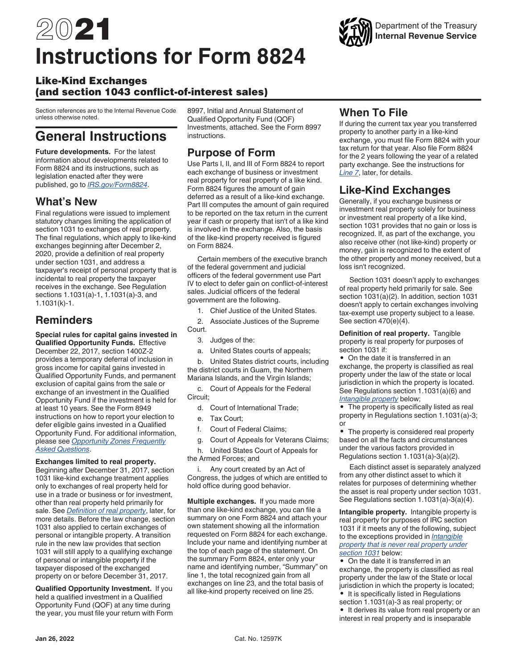# 2021 **Instructions for Form 8824**

#### Like-Kind Exchanges (and section 1043 conflict-of-interest sales)

Section references are to the Internal Revenue Code unless otherwise noted.

# **General Instructions**

**Future developments.** For the latest information about developments related to Form 8824 and its instructions, such as legislation enacted after they were published, go to *[IRS.gov/Form8824](https://www.irs.gov/form8824)*.

## **What's New**

Final regulations were issued to implement statutory changes limiting the application of section 1031 to exchanges of real property. The final regulations, which apply to like-kind exchanges beginning after December 2, 2020, provide a definition of real property under section 1031, and address a taxpayer's receipt of personal property that is incidental to real property the taxpayer receives in the exchange. See Regulation sections 1.1031(a)-1, 1.1031(a)-3, and 1.1031(k)-1.

## **Reminders**

**Special rules for capital gains invested in Qualified Opportunity Funds.** Effective December 22, 2017, section 1400Z-2 provides a temporary deferral of inclusion in gross income for capital gains invested in Qualified Opportunity Funds, and permanent exclusion of capital gains from the sale or exchange of an investment in the Qualified Opportunity Fund if the investment is held for at least 10 years. See the Form 8949 instructions on how to report your election to defer eligible gains invested in a Qualified Opportunity Fund. For additional information, please see *[Opportunity Zones Frequently](https://www.irs.gov/newsroom/opportunity-zones-frequently-asked-questions) [Asked Questions](https://www.irs.gov/newsroom/opportunity-zones-frequently-asked-questions)*.

#### **Exchanges limited to real property.**

Beginning after December 31, 2017, section 1031 like-kind exchange treatment applies only to exchanges of real property held for use in a trade or business or for investment, other than real property held primarily for sale. See *Definition of real property*, later, for more details. Before the law change, section 1031 also applied to certain exchanges of personal or intangible property. A transition rule in the new law provides that section 1031 will still apply to a qualifying exchange of personal or intangible property if the taxpayer disposed of the exchanged property on or before December 31, 2017.

**Qualified Opportunity Investment.** If you held a qualified investment in a Qualified Opportunity Fund (QOF) at any time during the year, you must file your return with Form 8997, Initial and Annual Statement of Qualified Opportunity Fund (QOF) Investments, attached. See the Form 8997 instructions.

## **Purpose of Form**

Use Parts I, II, and III of Form 8824 to report each exchange of business or investment real property for real property of a like kind. Form 8824 figures the amount of gain deferred as a result of a like-kind exchange. Part III computes the amount of gain required to be reported on the tax return in the current year if cash or property that isn't of a like kind is involved in the exchange. Also, the basis of the like-kind property received is figured on Form 8824.

Certain members of the executive branch of the federal government and judicial officers of the federal government use Part IV to elect to defer gain on conflict-of-interest sales. Judicial officers of the federal government are the following.

1. Chief Justice of the United States.

2. Associate Justices of the Supreme Court.

- 3. Judges of the:
- a. United States courts of appeals;

b. United States district courts, including the district courts in Guam, the Northern Mariana Islands, and the Virgin Islands;

c. Court of Appeals for the Federal Circuit;

- d. Court of International Trade;
- e. Tax Court;
- f. Court of Federal Claims;
- g. Court of Appeals for Veterans Claims;

h. United States Court of Appeals for the Armed Forces; and

i. Any court created by an Act of Congress, the judges of which are entitled to hold office during good behavior.

**Multiple exchanges.** If you made more than one like-kind exchange, you can file a summary on one Form 8824 and attach your own statement showing all the information requested on Form 8824 for each exchange. Include your name and identifying number at the top of each page of the statement. On the summary Form 8824, enter only your name and identifying number, "Summary" on line 1, the total recognized gain from all exchanges on line 23, and the total basis of all like-kind property received on line 25.

## **When To File**

If during the current tax year you transferred property to another party in a like-kind exchange, you must file Form 8824 with your tax return for that year. Also file Form 8824 for the 2 years following the year of a related party exchange. See the instructions for *Line 7*, later, for details.

## **Like-Kind Exchanges**

Generally, if you exchange business or investment real property solely for business or investment real property of a like kind, section 1031 provides that no gain or loss is recognized. If, as part of the exchange, you also receive other (not like-kind) property or money, gain is recognized to the extent of the other property and money received, but a loss isn't recognized.

Section 1031 doesn't apply to exchanges of real property held primarily for sale. See section 1031(a)(2). In addition, section 1031 doesn't apply to certain exchanges involving tax-exempt use property subject to a lease. See section 470(e)(4).

**Definition of real property.** Tangible property is real property for purposes of section 1031 if:

• On the date it is transferred in an exchange, the property is classified as real property under the law of the state or local jurisdiction in which the property is located. See Regulations section 1.1031(a)(6) and *Intangible property* below;

• The property is specifically listed as real property in Regulations section 1.1031(a)-3; or

• The property is considered real property based on all the facts and circumstances under the various factors provided in Regulations section 1.1031(a)-3(a)(2).

Each distinct asset is separately analyzed from any other distinct asset to which it relates for purposes of determining whether the asset is real property under section 1031. See Regulations section 1.1031(a)-3(a)(4).

**Intangible property.** Intangible property is real property for purposes of IRC section 1031 if it meets any of the following, subject to the exceptions provided in *Intangible property that is never real property under section 1031* below:

• On the date it is transferred in an exchange, the property is classified as real property under the law of the State or local jurisdiction in which the property is located;

- It is specifically listed in Regulations section 1.1031(a)-3 as real property; or
- It derives its value from real property or an interest in real property and is inseparable

### Department of the Treasury **Internal Revenue Service**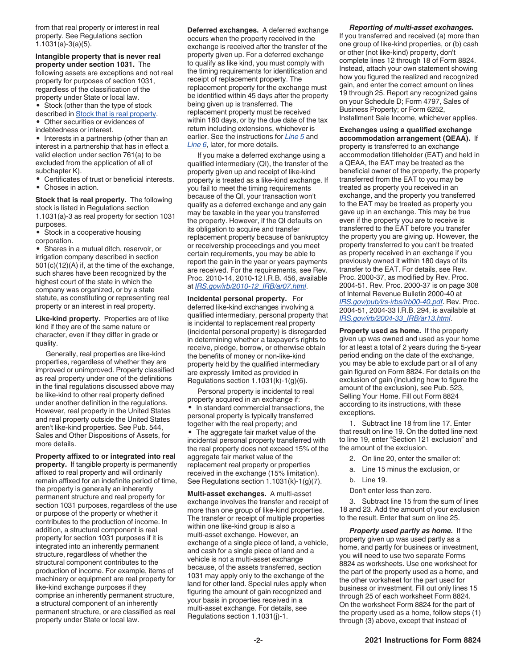from that real property or interest in real property. See Regulations section 1.1031(a)-3(a)(5).

**Intangible property that is never real property under section 1031.** The following assets are exceptions and not real property for purposes of section 1031, regardless of the classification of the property under State or local law.

- Stock (other than the type of stock described in **Stock that is real property**.
- Other securities or evidences of
- indebtedness or interest.

• Interests in a partnership (other than an interest in a partnership that has in effect a valid election under section 761(a) to be excluded from the application of all of subchapter K).

- Certificates of trust or beneficial interests.
- Choses in action.

#### **Stock that is real property.** The following stock is listed in Regulations section 1.1031(a)-3 as real property for section 1031 purposes.

• Stock in a cooperative housing corporation.

• Shares in a mutual ditch, reservoir, or irrigation company described in section 501(c)(12)(A) if, at the time of the exchange, such shares have been recognized by the highest court of the state in which the company was organized, or by a state statute, as constituting or representing real property or an interest in real property.

**Like-kind property.** Properties are of like kind if they are of the same nature or character, even if they differ in grade or quality.

Generally, real properties are like-kind properties, regardless of whether they are improved or unimproved. Property classified as real property under one of the definitions in the final regulations discussed above may be like-kind to other real property defined under another definition in the regulations. However, real property in the United States and real property outside the United States aren't like-kind properties. See Pub. 544, Sales and Other Dispositions of Assets, for more details.

**Property affixed to or integrated into real property.** If tangible property is permanently affixed to real property and will ordinarily remain affixed for an indefinite period of time, the property is generally an inherently permanent structure and real property for section 1031 purposes, regardless of the use or purpose of the property or whether it contributes to the production of income. In addition, a structural component is real property for section 1031 purposes if it is integrated into an inherently permanent structure, regardless of whether the structural component contributes to the production of income. For example, items of machinery or equipment are real property for like-kind exchange purposes if they comprise an inherently permanent structure, a structural component of an inherently permanent structure, or are classified as real property under State or local law.

**Deferred exchanges.** A deferred exchange occurs when the property received in the exchange is received after the transfer of the property given up. For a deferred exchange to qualify as like kind, you must comply with the timing requirements for identification and receipt of replacement property. The replacement property for the exchange must be identified within 45 days after the property being given up is transferred. The replacement property must be received within 180 days, or by the due date of the tax return including extensions, whichever is earlier. See the instructions for *Line 5* and *Line 6*, later, for more details.

If you make a deferred exchange using a qualified intermediary (QI), the transfer of the property given up and receipt of like-kind property is treated as a like-kind exchange. If you fail to meet the timing requirements because of the QI, your transaction won't qualify as a deferred exchange and any gain may be taxable in the year you transferred the property. However, if the QI defaults on its obligation to acquire and transfer replacement property because of bankruptcy or receivership proceedings and you meet certain requirements, you may be able to report the gain in the year or years payments are received. For the requirements, see Rev. Proc. 2010-14, 2010-12 I.R.B. 456, available at *[IRS.gov/irb/2010-12\\_IRB/ar07.html](https://www.irs.gov/irb/2010-12_IRB/ar07.html)*.

**Incidental personal property.** For deferred like-kind exchanges involving a qualified intermediary, personal property that is incidental to replacement real property (incidental personal property) is disregarded in determining whether a taxpayer's rights to receive, pledge, borrow, or otherwise obtain the benefits of money or non-like-kind property held by the qualified intermediary are expressly limited as provided in Regulations section 1.1031(k)-1(g)(6).

Personal property is incidental to real property acquired in an exchange if: • In standard commercial transactions, the personal property is typically transferred together with the real property; and • The aggregate fair market value of the incidental personal property transferred with the real property does not exceed 15% of the aggregate fair market value of the replacement real property or properties received in the exchange (15% limitation). See Regulations section 1.1031(k)-1(g)(7).

**Multi-asset exchanges.** A multi-asset exchange involves the transfer and receipt of more than one group of like-kind properties. The transfer or receipt of multiple properties within one like-kind group is also a multi-asset exchange. However, an exchange of a single piece of land, a vehicle, and cash for a single piece of land and a vehicle is not a multi-asset exchange because, of the assets transferred, section 1031 may apply only to the exchange of the land for other land. Special rules apply when figuring the amount of gain recognized and your basis in properties received in a multi-asset exchange. For details, see Regulations section 1.1031(j)-1.

#### *Reporting of multi-asset exchanges.*

If you transferred and received (a) more than one group of like-kind properties, or (b) cash or other (not like-kind) property, don't complete lines 12 through 18 of Form 8824. Instead, attach your own statement showing how you figured the realized and recognized gain, and enter the correct amount on lines 19 through 25. Report any recognized gains on your Schedule D; Form 4797, Sales of Business Property; or Form 6252, Installment Sale Income, whichever applies.

**Exchanges using a qualified exchange accommodation arrangement (QEAA).** If property is transferred to an exchange accommodation titleholder (EAT) and held in a QEAA, the EAT may be treated as the beneficial owner of the property, the property transferred from the EAT to you may be treated as property you received in an exchange, and the property you transferred to the EAT may be treated as property you gave up in an exchange. This may be true even if the property you are to receive is transferred to the EAT before you transfer the property you are giving up. However, the property transferred to you can't be treated as property received in an exchange if you previously owned it within 180 days of its transfer to the EAT. For details, see Rev. Proc. 2000-37, as modified by Rev. Proc. 2004-51. Rev. Proc. 2000-37 is on page 308 of Internal Revenue Bulletin 2000-40 at *[IRS.gov/pub/irs-irbs/irb00-40.pdf](https://www.irs.gov/pub/irs-irbs/irb00-40.pdf)*. Rev. Proc. 2004-51, 2004-33 I.R.B. 294, is available at *[IRS.gov/irb/2004-33\\_IRB/ar13.html](https://www.irs.gov/irb/2004-33_IRB/ar13.html)*.

**Property used as home.** If the property given up was owned and used as your home for at least a total of 2 years during the 5-year period ending on the date of the exchange, you may be able to exclude part or all of any gain figured on Form 8824. For details on the exclusion of gain (including how to figure the amount of the exclusion), see Pub. 523, Selling Your Home. Fill out Form 8824 according to its instructions, with these exceptions.

1. Subtract line 18 from line 17. Enter that result on line 19. On the dotted line next to line 19, enter "Section 121 exclusion" and the amount of the exclusion.

- 2. On line 20, enter the smaller of:
- a. Line 15 minus the exclusion, or
- b. Line 19.
- Don't enter less than zero.

3. Subtract line 15 from the sum of lines 18 and 23. Add the amount of your exclusion to the result. Enter that sum on line 25.

*Property used partly as home.* If the property given up was used partly as a home, and partly for business or investment, you will need to use two separate Forms 8824 as worksheets. Use one worksheet for the part of the property used as a home, and the other worksheet for the part used for business or investment. Fill out only lines 15 through 25 of each worksheet Form 8824. On the worksheet Form 8824 for the part of the property used as a home, follow steps (1) through (3) above, except that instead of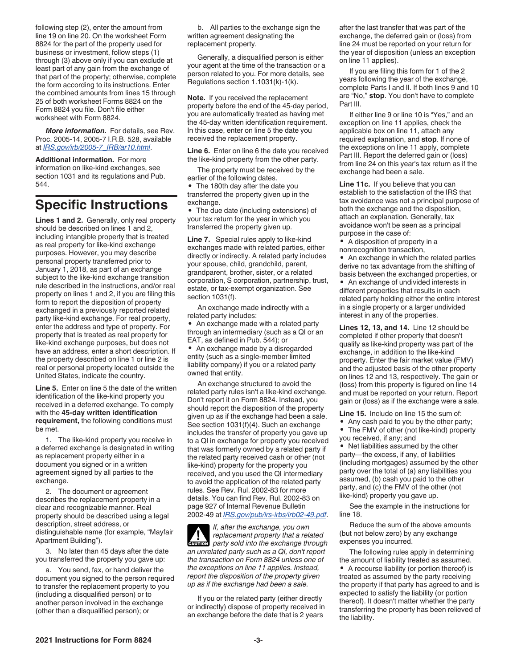following step (2), enter the amount from line 19 on line 20. On the worksheet Form 8824 for the part of the property used for business or investment, follow steps (1) through (3) above only if you can exclude at least part of any gain from the exchange of that part of the property; otherwise, complete the form according to its instructions. Enter the combined amounts from lines 15 through 25 of both worksheet Forms 8824 on the Form 8824 you file. Don't file either worksheet with Form 8824.

*More information.* For details, see Rev. Proc. 2005-14, 2005-7 I.R.B. 528, available at *[IRS.gov/irb/2005-7\\_IRB/ar10.html](https://www.irs.gov/irb/2005-07_IRB/ar10.html)*.

**Additional information.** For more information on like-kind exchanges, see section 1031 and its regulations and Pub. 544.

## **Specific Instructions**

**Lines 1 and 2.** Generally, only real property should be described on lines 1 and 2, including intangible property that is treated as real property for like-kind exchange purposes. However, you may describe personal property transferred prior to January 1, 2018, as part of an exchange subject to the like-kind exchange transition rule described in the instructions, and/or real property on lines 1 and 2, if you are filing this form to report the disposition of property exchanged in a previously reported related party like-kind exchange. For real property, enter the address and type of property. For property that is treated as real property for like-kind exchange purposes, but does not have an address, enter a short description. If the property described on line 1 or line 2 is real or personal property located outside the United States, indicate the country.

**Line 5.** Enter on line 5 the date of the written identification of the like-kind property you received in a deferred exchange. To comply with the **45-day written identification requirement,** the following conditions must be met.

1. The like-kind property you receive in a deferred exchange is designated in writing as replacement property either in a document you signed or in a written agreement signed by all parties to the exchange.

2. The document or agreement describes the replacement property in a clear and recognizable manner. Real property should be described using a legal description, street address, or distinguishable name (for example, "Mayfair Apartment Building").

3. No later than 45 days after the date you transferred the property you gave up:

a. You send, fax, or hand deliver the document you signed to the person required to transfer the replacement property to you (including a disqualified person) or to another person involved in the exchange (other than a disqualified person); or

b. All parties to the exchange sign the written agreement designating the replacement property.

Generally, a disqualified person is either your agent at the time of the transaction or a person related to you. For more details, see Regulations section 1.1031(k)-1(k).

**Note.** If you received the replacement property before the end of the 45-day period, you are automatically treated as having met the 45-day written identification requirement. In this case, enter on line 5 the date you received the replacement property.

**Line 6.** Enter on line 6 the date you received the like-kind property from the other party.

The property must be received by the earlier of the following dates.

• The 180th day after the date you transferred the property given up in the exchange.

• The due date (including extensions) of your tax return for the year in which you transferred the property given up.

**Line 7.** Special rules apply to like-kind exchanges made with related parties, either directly or indirectly. A related party includes your spouse, child, grandchild, parent, grandparent, brother, sister, or a related corporation, S corporation, partnership, trust, estate, or tax-exempt organization. See section 1031(f).

An exchange made indirectly with a related party includes:

• An exchange made with a related party through an intermediary (such as a QI or an EAT, as defined in Pub. 544); or

• An exchange made by a disregarded entity (such as a single-member limited liability company) if you or a related party owned that entity.

An exchange structured to avoid the related party rules isn't a like-kind exchange. Don't report it on Form 8824. Instead, you should report the disposition of the property given up as if the exchange had been a sale. See section 1031(f)(4). Such an exchange includes the transfer of property you gave up to a QI in exchange for property you received that was formerly owned by a related party if the related party received cash or other (not like-kind) property for the property you received, and you used the QI intermediary to avoid the application of the related party rules. See Rev. Rul. 2002-83 for more details. You can find Rev. Rul. 2002-83 on page 927 of Internal Revenue Bulletin 2002-49 at *[IRS.gov/pub/irs-irbs/irb02-49.pdf](https://www.irs.gov/pub/irs-irbs/irb02-49.pdf)*.

*If, after the exchange, you own replacement property that a related*  **Party sold into the exchange through**  $\frac{1}{2}$  **party sold into the exchange through** *an unrelated party such as a QI, don't report the transaction on Form 8824 unless one of the exceptions on line 11 applies. Instead, report the disposition of the property given up as if the exchange had been a sale.*

If you or the related party (either directly or indirectly) dispose of property received in an exchange before the date that is 2 years

after the last transfer that was part of the exchange, the deferred gain or (loss) from line 24 must be reported on your return for the year of disposition (unless an exception on line 11 applies).

If you are filing this form for 1 of the 2 years following the year of the exchange, complete Parts I and II. If both lines 9 and 10 are "No," **stop**. You don't have to complete Part III.

If either line 9 or line 10 is "Yes," and an exception on line 11 applies, check the applicable box on line 11, attach any required explanation, and **stop**. If none of the exceptions on line 11 apply, complete Part III. Report the deferred gain or (loss) from line 24 on this year's tax return as if the exchange had been a sale.

**Line 11c.** If you believe that you can establish to the satisfaction of the IRS that tax avoidance was not a principal purpose of both the exchange and the disposition, attach an explanation. Generally, tax avoidance won't be seen as a principal purpose in the case of:

• A disposition of property in a nonrecognition transaction,

• An exchange in which the related parties derive no tax advantage from the shifting of basis between the exchanged properties, or

• An exchange of undivided interests in different properties that results in each related party holding either the entire interest in a single property or a larger undivided interest in any of the properties.

**Lines 12, 13, and 14.** Line 12 should be completed if other property that doesn't qualify as like-kind property was part of the exchange, in addition to the like-kind property. Enter the fair market value (FMV) and the adjusted basis of the other property on lines 12 and 13, respectively. The gain or (loss) from this property is figured on line 14 and must be reported on your return. Report gain or (loss) as if the exchange were a sale.

**Line 15.** Include on line 15 the sum of:

- Any cash paid to you by the other party;
- The FMV of other (not like-kind) property you received, if any; and

• Net liabilities assumed by the other party—the excess, if any, of liabilities (including mortgages) assumed by the other party over the total of (a) any liabilities you assumed, (b) cash you paid to the other party, and (c) the FMV of the other (not like-kind) property you gave up.

See the example in the instructions for line 18.

Reduce the sum of the above amounts (but not below zero) by any exchange expenses you incurred.

The following rules apply in determining the amount of liability treated as assumed. • A recourse liability (or portion thereof) is treated as assumed by the party receiving the property if that party has agreed to and is expected to satisfy the liability (or portion thereof). It doesn't matter whether the party transferring the property has been relieved of the liability.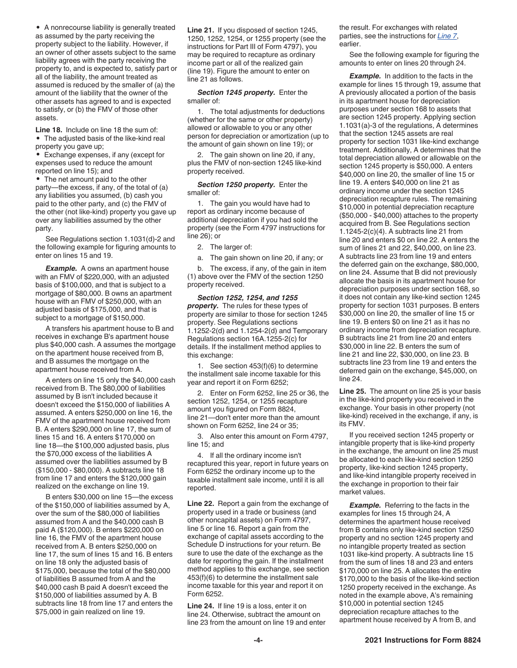• A nonrecourse liability is generally treated as assumed by the party receiving the property subject to the liability. However, if an owner of other assets subject to the same liability agrees with the party receiving the property to, and is expected to, satisfy part or all of the liability, the amount treated as assumed is reduced by the smaller of (a) the amount of the liability that the owner of the other assets has agreed to and is expected to satisfy, or (b) the FMV of those other assets.

**Line 18.** Include on line 18 the sum of: • The adjusted basis of the like-kind real property you gave up;

• Exchange expenses, if any (except for expenses used to reduce the amount reported on line 15); and

• The net amount paid to the other party—the excess, if any, of the total of (a) any liabilities you assumed, (b) cash you paid to the other party, and (c) the FMV of the other (not like-kind) property you gave up over any liabilities assumed by the other party.

See Regulations section 1.1031(d)-2 and the following example for figuring amounts to enter on lines 15 and 19.

**Example.** A owns an apartment house with an FMV of \$220,000, with an adjusted basis of \$100,000, and that is subject to a mortgage of \$80,000. B owns an apartment house with an FMV of \$250,000, with an adjusted basis of \$175,000, and that is subject to a mortgage of \$150,000.

A transfers his apartment house to B and receives in exchange B's apartment house plus \$40,000 cash. A assumes the mortgage on the apartment house received from B, and B assumes the mortgage on the apartment house received from A.

A enters on line 15 only the \$40,000 cash received from B. The \$80,000 of liabilities assumed by B isn't included because it doesn't exceed the \$150,000 of liabilities A assumed. A enters \$250,000 on line 16, the FMV of the apartment house received from B. A enters \$290,000 on line 17, the sum of lines 15 and 16. A enters \$170,000 on line 18—the \$100,000 adjusted basis, plus the \$70,000 excess of the liabilities A assumed over the liabilities assumed by B (\$150,000 - \$80,000). A subtracts line 18 from line 17 and enters the \$120,000 gain realized on the exchange on line 19.

B enters \$30,000 on line 15—the excess of the \$150,000 of liabilities assumed by A, over the sum of the \$80,000 of liabilities assumed from A and the \$40,000 cash B paid A (\$120,000). B enters \$220,000 on line 16, the FMV of the apartment house received from A. B enters \$250,000 on line 17, the sum of lines 15 and 16. B enters on line 18 only the adjusted basis of \$175,000, because the total of the \$80,000 of liabilities B assumed from A and the \$40,000 cash B paid A doesn't exceed the \$150,000 of liabilities assumed by A. B subtracts line 18 from line 17 and enters the \$75,000 in gain realized on line 19.

**Line 21.** If you disposed of section 1245, 1250, 1252, 1254, or 1255 property (see the instructions for Part III of Form 4797), you may be required to recapture as ordinary income part or all of the realized gain (line 19). Figure the amount to enter on line 21 as follows.

*Section 1245 property.* Enter the smaller of:

1. The total adjustments for deductions (whether for the same or other property) allowed or allowable to you or any other person for depreciation or amortization (up to the amount of gain shown on line 19); or

2. The gain shown on line 20, if any, plus the FMV of non-section 1245 like-kind property received.

*Section 1250 property.* Enter the smaller of:

1. The gain you would have had to report as ordinary income because of additional depreciation if you had sold the property (see the Form 4797 instructions for line 26); or

2. The larger of:

a. The gain shown on line 20, if any; or

b. The excess, if any, of the gain in item (1) above over the FMV of the section 1250 property received.

*Section 1252, 1254, and 1255 property.* The rules for these types of property are similar to those for section 1245 property. See Regulations sections 1.1252-2(d) and 1.1254-2(d) and Temporary Regulations section 16A.1255-2(c) for details. If the installment method applies to this exchange:

1. See section 453(f)(6) to determine the installment sale income taxable for this year and report it on Form 6252;

2. Enter on Form 6252, line 25 or 36, the section 1252, 1254, or 1255 recapture amount you figured on Form 8824, line 21—don't enter more than the amount shown on Form 6252, line 24 or 35;

3. Also enter this amount on Form 4797, line 15; and

4. If all the ordinary income isn't recaptured this year, report in future years on Form 6252 the ordinary income up to the taxable installment sale income, until it is all reported.

**Line 22.** Report a gain from the exchange of property used in a trade or business (and other noncapital assets) on Form 4797, line 5 or line 16. Report a gain from the exchange of capital assets according to the Schedule D instructions for your return. Be sure to use the date of the exchange as the date for reporting the gain. If the installment method applies to this exchange, see section 453(f)(6) to determine the installment sale income taxable for this year and report it on Form 6252.

**Line 24.** If line 19 is a loss, enter it on line 24. Otherwise, subtract the amount on line 23 from the amount on line 19 and enter the result. For exchanges with related parties, see the instructions for *Line 7*, earlier.

See the following example for figuring the amounts to enter on lines 20 through 24.

**Example.** In addition to the facts in the example for lines 15 through 19, assume that A previously allocated a portion of the basis in its apartment house for depreciation purposes under section 168 to assets that are section 1245 property. Applying section 1.1031(a)-3 of the regulations, A determines that the section 1245 assets are real property for section 1031 like-kind exchange treatment. Additionally, A determines that the total depreciation allowed or allowable on the section 1245 property is \$50,000. A enters \$40,000 on line 20, the smaller of line 15 or line 19. A enters \$40,000 on line 21 as ordinary income under the section 1245 depreciation recapture rules. The remaining \$10,000 in potential depreciation recapture (\$50,000 - \$40,000) attaches to the property acquired from B. See Regulations section 1.1245-2(c)(4). A subtracts line 21 from line 20 and enters \$0 on line 22. A enters the sum of lines 21 and 22, \$40,000, on line 23. A subtracts line 23 from line 19 and enters the deferred gain on the exchange, \$80,000, on line 24. Assume that B did not previously allocate the basis in its apartment house for depreciation purposes under section 168, so it does not contain any like-kind section 1245 property for section 1031 purposes. B enters \$30,000 on line 20, the smaller of line 15 or line 19. B enters \$0 on line 21 as it has no ordinary income from depreciation recapture. B subtracts line 21 from line 20 and enters \$30,000 in line 22. B enters the sum of line 21 and line 22, \$30,000, on line 23. B subtracts line 23 from line 19 and enters the deferred gain on the exchange, \$45,000, on line 24.

**Line 25.** The amount on line 25 is your basis in the like-kind property you received in the exchange. Your basis in other property (not like-kind) received in the exchange, if any, is its FMV.

If you received section 1245 property or intangible property that is like-kind property in the exchange, the amount on line 25 must be allocated to each like-kind section 1250 property, like-kind section 1245 property, and like-kind intangible property received in the exchange in proportion to their fair market values.

**Example.** Referring to the facts in the examples for lines 15 through 24, A determines the apartment house received from B contains only like-kind section 1250 property and no section 1245 property and no intangible property treated as section 1031 like-kind property. A subtracts line 15 from the sum of lines 18 and 23 and enters \$170,000 on line 25. A allocates the entire \$170,000 to the basis of the like-kind section 1250 property received in the exchange. As noted in the example above, A's remaining \$10,000 in potential section 1245 depreciation recapture attaches to the apartment house received by A from B, and